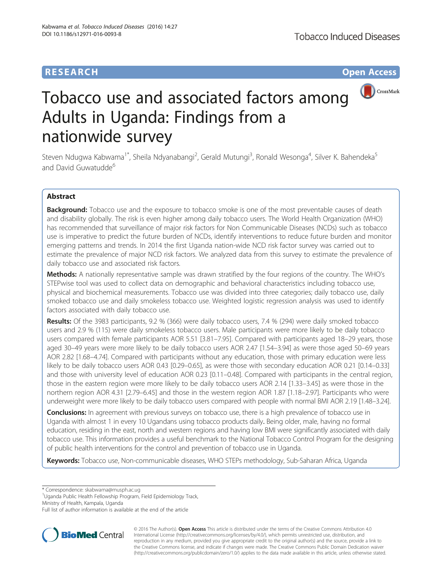## **RESEARCH CHE Open Access**



# Tobacco use and associated factors among Adults in Uganda: Findings from a nationwide survey

Steven Ndugwa Kabwama<sup>1\*</sup>, Sheila Ndyanabangi<sup>2</sup>, Gerald Mutungi<sup>3</sup>, Ronald Wesonga<sup>4</sup>, Silver K. Bahendeka<sup>5</sup> and David Guwatudde<sup>6</sup>

## Abstract

Background: Tobacco use and the exposure to tobacco smoke is one of the most preventable causes of death and disability globally. The risk is even higher among daily tobacco users. The World Health Organization (WHO) has recommended that surveillance of major risk factors for Non Communicable Diseases (NCDs) such as tobacco use is imperative to predict the future burden of NCDs, identify interventions to reduce future burden and monitor emerging patterns and trends. In 2014 the first Uganda nation-wide NCD risk factor survey was carried out to estimate the prevalence of major NCD risk factors. We analyzed data from this survey to estimate the prevalence of daily tobacco use and associated risk factors.

Methods: A nationally representative sample was drawn stratified by the four regions of the country. The WHO's STEPwise tool was used to collect data on demographic and behavioral characteristics including tobacco use, physical and biochemical measurements. Tobacco use was divided into three categories; daily tobacco use, daily smoked tobacco use and daily smokeless tobacco use. Weighted logistic regression analysis was used to identify factors associated with daily tobacco use.

Results: Of the 3983 participants, 9.2 % (366) were daily tobacco users, 7.4 % (294) were daily smoked tobacco users and 2.9 % (115) were daily smokeless tobacco users. Male participants were more likely to be daily tobacco users compared with female participants AOR 5.51 [3.81-7.95]. Compared with participants aged 18-29 years, those aged 30–49 years were more likely to be daily tobacco users AOR 2.47 [1.54–3.94] as were those aged 50–69 years AOR 2.82 [1.68–4.74]. Compared with participants without any education, those with primary education were less likely to be daily tobacco users AOR 0.43 [0.29–0.65], as were those with secondary education AOR 0.21 [0.14–0.33] and those with university level of education AOR 0.23 [0.11–0.48]. Compared with participants in the central region, those in the eastern region were more likely to be daily tobacco users AOR 2.14 [1.33–3.45] as were those in the northern region AOR 4.31 [2.79–6.45] and those in the western region AOR 1.87 [1.18–2.97]. Participants who were underweight were more likely to be daily tobacco users compared with people with normal BMI AOR 2.19 [1.48–3.24].

Conclusions: In agreement with previous surveys on tobacco use, there is a high prevalence of tobacco use in Uganda with almost 1 in every 10 Ugandans using tobacco products daily. Being older, male, having no formal education, residing in the east, north and western regions and having low BMI were significantly associated with daily tobacco use. This information provides a useful benchmark to the National Tobacco Control Program for the designing of public health interventions for the control and prevention of tobacco use in Uganda.

Keywords: Tobacco use, Non-communicable diseases, WHO STEPs methodology, Sub-Saharan Africa, Uganda

\* Correspondence: [skabwama@musph.ac.ug](mailto:skabwama@musph.ac.ug) <sup>1</sup>

<sup>1</sup>Uganda Public Health Fellowship Program, Field Epidemiology Track,

Ministry of Health, Kampala, Uganda

Full list of author information is available at the end of the article



© 2016 The Author(s). Open Access This article is distributed under the terms of the Creative Commons Attribution 4.0 International License [\(http://creativecommons.org/licenses/by/4.0/](http://creativecommons.org/licenses/by/4.0/)), which permits unrestricted use, distribution, and reproduction in any medium, provided you give appropriate credit to the original author(s) and the source, provide a link to the Creative Commons license, and indicate if changes were made. The Creative Commons Public Domain Dedication waiver [\(http://creativecommons.org/publicdomain/zero/1.0/](http://creativecommons.org/publicdomain/zero/1.0/)) applies to the data made available in this article, unless otherwise stated.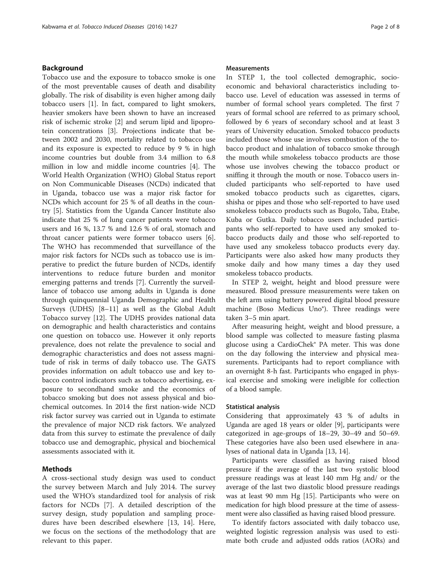## Background

Tobacco use and the exposure to tobacco smoke is one of the most preventable causes of death and disability globally. The risk of disability is even higher among daily tobacco users [\[1](#page-6-0)]. In fact, compared to light smokers, heavier smokers have been shown to have an increased risk of ischemic stroke [[2\]](#page-6-0) and serum lipid and lipoprotein concentrations [\[3](#page-6-0)]. Projections indicate that between 2002 and 2030, mortality related to tobacco use and its exposure is expected to reduce by 9 % in high income countries but double from 3.4 million to 6.8 million in low and middle income countries [[4\]](#page-6-0). The World Health Organization (WHO) Global Status report on Non Communicable Diseases (NCDs) indicated that in Uganda, tobacco use was a major risk factor for NCDs which account for 25 % of all deaths in the country [[5\]](#page-6-0). Statistics from the Uganda Cancer Institute also indicate that 25 % of lung cancer patients were tobacco users and 16 %, 13.7 % and 12.6 % of oral, stomach and throat cancer patients were former tobacco users [\[6](#page-6-0)]. The WHO has recommended that surveillance of the major risk factors for NCDs such as tobacco use is imperative to predict the future burden of NCDs, identify interventions to reduce future burden and monitor emerging patterns and trends [[7](#page-6-0)]. Currently the surveillance of tobacco use among adults in Uganda is done through quinquennial Uganda Demographic and Health Surveys (UDHS) [\[8](#page-6-0)–[11\]](#page-6-0) as well as the Global Adult Tobacco survey [[12\]](#page-6-0). The UDHS provides national data on demographic and health characteristics and contains one question on tobacco use. However it only reports prevalence, does not relate the prevalence to social and demographic characteristics and does not assess magnitude of risk in terms of daily tobacco use. The GATS provides information on adult tobacco use and key tobacco control indicators such as tobacco advertising, exposure to secondhand smoke and the economics of tobacco smoking but does not assess physical and biochemical outcomes. In 2014 the first nation-wide NCD risk factor survey was carried out in Uganda to estimate the prevalence of major NCD risk factors. We analyzed data from this survey to estimate the prevalence of daily tobacco use and demographic, physical and biochemical assessments associated with it.

## Methods

A cross-sectional study design was used to conduct the survey between March and July 2014. The survey used the WHO's standardized tool for analysis of risk factors for NCDs [\[7](#page-6-0)]. A detailed description of the survey design, study population and sampling procedures have been described elsewhere [\[13](#page-6-0), [14\]](#page-6-0). Here, we focus on the sections of the methodology that are relevant to this paper.

## **Measurements**

In STEP 1, the tool collected demographic, socioeconomic and behavioral characteristics including tobacco use. Level of education was assessed in terms of number of formal school years completed. The first 7 years of formal school are referred to as primary school, followed by 6 years of secondary school and at least 3 years of University education. Smoked tobacco products included those whose use involves combustion of the tobacco product and inhalation of tobacco smoke through the mouth while smokeless tobacco products are those whose use involves chewing the tobacco product or sniffing it through the mouth or nose. Tobacco users included participants who self-reported to have used smoked tobacco products such as cigarettes, cigars, shisha or pipes and those who self-reported to have used smokeless tobacco products such as Bugolo, Taba, Etabe, Kuba or Gutka. Daily tobacco users included participants who self-reported to have used any smoked tobacco products daily and those who self-reported to have used any smokeless tobacco products every day. Participants were also asked how many products they smoke daily and how many times a day they used smokeless tobacco products.

In STEP 2, weight, height and blood pressure were measured. Blood pressure measurements were taken on the left arm using battery powered digital blood pressure machine (Boso Medicus Uno®). Three readings were taken 3–5 min apart.

After measuring height, weight and blood pressure, a blood sample was collected to measure fasting plasma glucose using a CardioChek® PA meter. This was done on the day following the interview and physical measurements. Participants had to report compliance with an overnight 8-h fast. Participants who engaged in physical exercise and smoking were ineligible for collection of a blood sample.

## Statistical analysis

Considering that approximately 43 % of adults in Uganda are aged 18 years or older [\[9](#page-6-0)], participants were categorized in age-groups of 18–29, 30–49 and 50–69. These categories have also been used elsewhere in analyses of national data in Uganda [[13, 14\]](#page-6-0).

Participants were classified as having raised blood pressure if the average of the last two systolic blood pressure readings was at least 140 mm Hg and/ or the average of the last two diastolic blood pressure readings was at least 90 mm Hg [[15\]](#page-6-0). Participants who were on medication for high blood pressure at the time of assessment were also classified as having raised blood pressure.

To identify factors associated with daily tobacco use, weighted logistic regression analysis was used to estimate both crude and adjusted odds ratios (AORs) and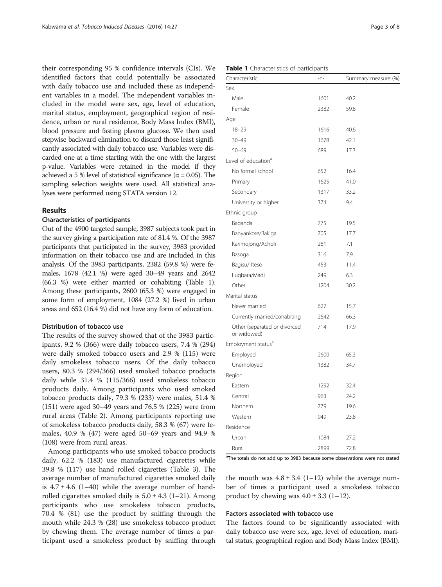their corresponding 95 % confidence intervals (CIs). We identified factors that could potentially be associated with daily tobacco use and included these as independent variables in a model. The independent variables included in the model were sex, age, level of education, marital status, employment, geographical region of residence, urban or rural residence, Body Mass Index (BMI), blood pressure and fasting plasma glucose. We then used stepwise backward elimination to discard those least significantly associated with daily tobacco use. Variables were discarded one at a time starting with the one with the largest p-value. Variables were retained in the model if they achieved a 5 % level of statistical significance ( $\alpha$  = 0.05). The sampling selection weights were used. All statistical analyses were performed using STATA version 12.

## Results

## Characteristics of participants

Out of the 4900 targeted sample, 3987 subjects took part in the survey giving a participation rate of 81.4 %. Of the 3987 participants that participated in the survey, 3983 provided information on their tobacco use and are included in this analysis. Of the 3983 participants, 2382 (59.8 %) were females, 1678 (42.1 %) were aged 30–49 years and 2642 (66.3 %) were either married or cohabiting (Table 1). Among these participants, 2600 (65.3 %) were engaged in some form of employment, 1084 (27.2 %) lived in urban areas and 652 (16.4 %) did not have any form of education.

## Distribution of tobacco use

The results of the survey showed that of the 3983 participants, 9.2 % (366) were daily tobacco users, 7.4 % (294) were daily smoked tobacco users and 2.9 % (115) were daily smokeless tobacco users. Of the daily tobacco users, 80.3 % (294/366) used smoked tobacco products daily while 31.4 % (115/366) used smokeless tobacco products daily. Among participants who used smoked tobacco products daily, 79.3 % (233) were males, 51.4 % (151) were aged 30–49 years and 76.5 % (225) were from rural areas (Table [2](#page-3-0)). Among participants reporting use of smokeless tobacco products daily, 58.3 % (67) were females, 40.9 % (47) were aged 50–69 years and 94.9 % (108) were from rural areas.

Among participants who use smoked tobacco products daily, 62.2 % (183) use manufactured cigarettes while 39.8 % (117) use hand rolled cigarettes (Table [3](#page-3-0)). The average number of manufactured cigarettes smoked daily is  $4.7 \pm 4.6$  (1–40) while the average number of handrolled cigarettes smoked daily is  $5.0 \pm 4.3$  (1–21). Among participants who use smokeless tobacco products, 70.4 % (81) use the product by sniffing through the mouth while 24.3 % (28) use smokeless tobacco product by chewing them. The average number of times a participant used a smokeless product by sniffing through

| Characteristic                              | $-n-$ | Summary measure (%) |  |  |
|---------------------------------------------|-------|---------------------|--|--|
| Sex                                         |       |                     |  |  |
| Male                                        | 1601  | 40.2                |  |  |
| Female                                      | 2382  | 59.8                |  |  |
| Age                                         |       |                     |  |  |
| $18 - 29$                                   | 1616  | 40.6                |  |  |
| $30 - 49$                                   | 1678  | 42.1                |  |  |
| $50 - 69$                                   | 689   | 17.3                |  |  |
| Level of education <sup>a</sup>             |       |                     |  |  |
| No formal school                            | 652   | 16.4                |  |  |
| Primary                                     | 1625  | 41.0                |  |  |
| Secondary                                   | 1317  | 33.2                |  |  |
| University or higher                        | 374   | 9.4                 |  |  |
| Ethnic group                                |       |                     |  |  |
| Baganda                                     | 775   | 19.5                |  |  |
| Banyankore/Bakiga                           | 705   | 17.7                |  |  |
| Karimojong/Acholi                           | 281   | 7.1                 |  |  |
| Basoga                                      | 316   | 7.9                 |  |  |
| Bagisu/Iteso                                | 453   | 11.4                |  |  |
| Lugbara/Madi                                | 249   | 6.3                 |  |  |
| Other                                       | 1204  | 30.2                |  |  |
| Marital status                              |       |                     |  |  |
| Never married                               | 627   | 15.7                |  |  |
| Currently married/cohabiting                | 2642  | 66.3                |  |  |
| Other (separated or divorced<br>or widowed) | 714   | 17.9                |  |  |
| Employment status <sup>d</sup>              |       |                     |  |  |
| Employed                                    | 2600  | 65.3                |  |  |
| Unemployed                                  | 1382  | 34.7                |  |  |
| Region                                      |       |                     |  |  |
| Eastern                                     | 1292  | 32.4                |  |  |
| Central                                     | 963   | 24.2                |  |  |
| Northern                                    | 779   | 19.6                |  |  |
| Western                                     | 949   | 23.8                |  |  |
| Residence                                   |       |                     |  |  |
| Urban                                       | 1084  | 27.2                |  |  |
| Rural                                       | 2899  | 72.8                |  |  |

Table 1 Characteristics of participants

<sup>a</sup>The totals do not add up to 3983 because some observations were not stated

the mouth was  $4.8 \pm 3.4$  (1–12) while the average number of times a participant used a smokeless tobacco product by chewing was  $4.0 \pm 3.3$  (1–12).

## Factors associated with tobacco use

The factors found to be significantly associated with daily tobacco use were sex, age, level of education, marital status, geographical region and Body Mass Index (BMI).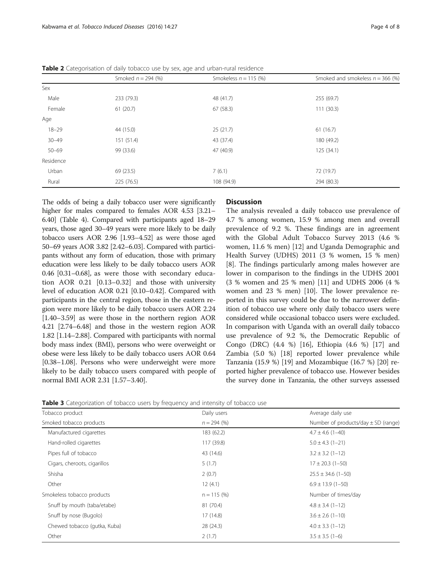| Smoked $n = 294$ (%) | Smokeless $n = 115$ (%) | Smoked and smokeless $n = 366$ (%) |
|----------------------|-------------------------|------------------------------------|
|                      |                         |                                    |
| 233 (79.3)           | 48 (41.7)               | 255 (69.7)                         |
| 61(20.7)             | 67 (58.3)               | 111(30.3)                          |
|                      |                         |                                    |
| 44 (15.0)            | 25(21.7)                | 61(16.7)                           |
| 151 (51.4)           | 43 (37.4)               | 180 (49.2)                         |
| 99 (33.6)            | 47 (40.9)               | 125 (34.1)                         |
|                      |                         |                                    |
| 69 (23.5)            | 7(6.1)                  | 72 (19.7)                          |
| 225 (76.5)           | 108 (94.9)              | 294 (80.3)                         |
|                      |                         |                                    |

<span id="page-3-0"></span>Table 2 Categorisation of daily tobacco use by sex, age and urban-rural residence

The odds of being a daily tobacco user were significantly higher for males compared to females AOR 4.53 [3.21– 6.40] (Table [4](#page-4-0)). Compared with participants aged 18–29 years, those aged 30–49 years were more likely to be daily tobacco users AOR 2.96 [1.93–4.52] as were those aged 50–69 years AOR 3.82 [2.42–6.03]. Compared with participants without any form of education, those with primary education were less likely to be daily tobacco users AOR 0.46 [0.31–0.68], as were those with secondary education AOR 0.21 [0.13–0.32] and those with university level of education AOR 0.21 [0.10–0.42]. Compared with participants in the central region, those in the eastern region were more likely to be daily tobacco users AOR 2.24 [1.40–3.59] as were those in the northern region AOR 4.21 [2.74–6.48] and those in the western region AOR 1.82 [1.14–2.88]. Compared with participants with normal body mass index (BMI), persons who were overweight or obese were less likely to be daily tobacco users AOR 0.64 [0.38–1.08]. Persons who were underweight were more likely to be daily tobacco users compared with people of normal BMI AOR 2.31 [1.57–3.40].

## **Discussion**

The analysis revealed a daily tobacco use prevalence of 4.7 % among women, 15.9 % among men and overall prevalence of 9.2 %. These findings are in agreement with the Global Adult Tobacco Survey 2013 (4.6 % women, 11.6 % men) [\[12\]](#page-6-0) and Uganda Demographic and Health Survey (UDHS) 2011 (3 % women, 15 % men) [[8\]](#page-6-0). The findings particularly among males however are lower in comparison to the findings in the UDHS 2001 (3 % women and 25 % men) [\[11\]](#page-6-0) and UDHS 2006 (4 % women and 23 % men) [[10](#page-6-0)]. The lower prevalence reported in this survey could be due to the narrower definition of tobacco use where only daily tobacco users were considered while occasional tobacco users were excluded. In comparison with Uganda with an overall daily tobacco use prevalence of 9.2 %, the Democratic Republic of Congo (DRC) (4.4 %) [\[16\]](#page-6-0), Ethiopia (4.6 %) [\[17](#page-6-0)] and Zambia (5.0 %) [\[18\]](#page-6-0) reported lower prevalence while Tanzania (15.9 %) [[19](#page-6-0)] and Mozambique (16.7 %) [\[20\]](#page-6-0) reported higher prevalence of tobacco use. However besides the survey done in Tanzania, the other surveys assessed

**Table 3** Categorization of tobacco users by frequency and intensity of tobacco use

| Tobacco product              | Daily users   | Average daily use<br>Number of products/day $\pm$ SD (range) |  |
|------------------------------|---------------|--------------------------------------------------------------|--|
| Smoked tobacco products      | $n = 294$ (%) |                                                              |  |
| Manufactured cigarettes      | 183 (62.2)    | $4.7 \pm 4.6$ (1-40)                                         |  |
| Hand-rolled cigarettes       | 117 (39.8)    | $5.0 \pm 4.3$ (1-21)                                         |  |
| Pipes full of tobacco        | 43 (14.6)     | $3.2 \pm 3.2$ (1-12)                                         |  |
| Cigars, cheroots, cigarillos | 5(1.7)        | $17 \pm 20.3$ (1-50)                                         |  |
| Shisha                       | 2(0.7)        | $25.5 \pm 34.6$ (1-50)                                       |  |
| Other                        | 12(4.1)       | $6.9 \pm 13.9$ (1-50)                                        |  |
| Smokeless tobacco products   | $n = 115$ (%) | Number of times/day                                          |  |
| Snuff by mouth (taba/etabe)  | 81 (70.4)     | $4.8 \pm 3.4$ (1-12)                                         |  |
| Snuff by nose (Bugolo)       | 17 (14.8)     | $3.6 \pm 2.6$ (1-10)                                         |  |
| Chewed tobacco (gutka, Kuba) | 28 (24.3)     | $4.0 \pm 3.3$ (1-12)                                         |  |
| Other                        | 2(1.7)        | $3.5 \pm 3.5$ (1-6)                                          |  |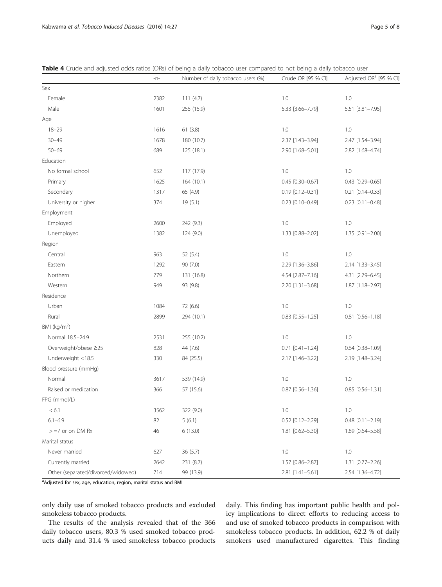|                                    | $-n-$ | Number of daily tobacco users (%) | Crude OR [95 % CI]     | Adjusted OR <sup>a</sup> [95 % CI] |
|------------------------------------|-------|-----------------------------------|------------------------|------------------------------------|
| Sex                                |       |                                   |                        |                                    |
| Female                             | 2382  | 111(4.7)                          | 1.0                    | 1.0                                |
| Male                               | 1601  | 255 (15.9)                        | 5.33 [3.66-7.79]       | 5.51 [3.81-7.95]                   |
| Age                                |       |                                   |                        |                                    |
| $18 - 29$                          | 1616  | 61(3.8)                           | 1.0                    | 1.0                                |
| $30 - 49$                          | 1678  | 180 (10.7)                        | 2.37 [1.43-3.94]       | 2.47 [1.54-3.94]                   |
| $50 - 69$                          | 689   | 125 (18.1)                        | 2.90 [1.68-5.01]       | 2.82 [1.68-4.74]                   |
| Education                          |       |                                   |                        |                                    |
| No formal school                   | 652   | 117 (17.9)                        | 1.0                    | 1.0                                |
| Primary                            | 1625  | 164 (10.1)                        | 0.45 [0.30-0.67]       | $0.43$ $[0.29 - 0.65]$             |
| Secondary                          | 1317  | 65 (4.9)                          | $0.19$ [0.12-0.31]     | $0.21$ [0.14-0.33]                 |
| University or higher               | 374   | 19(5.1)                           | $0.23$ [0.10-0.49]     | $0.23$ [0.11-0.48]                 |
| Employment                         |       |                                   |                        |                                    |
| Employed                           | 2600  | 242 (9.3)                         | 1.0                    | 1.0                                |
| Unemployed                         | 1382  | 124 (9.0)                         | 1.33 [0.88-2.02]       | 1.35 [0.91-2.00]                   |
| Region                             |       |                                   |                        |                                    |
| Central                            | 963   | 52(5.4)                           | 1.0                    | 1.0                                |
| Eastern                            | 1292  | 90 (7.0)                          | 2.29 [1.36-3.86]       | 2.14 [1.33-3.45]                   |
| Northern                           | 779   | 131 (16.8)                        | 4.54 [2.87-7.16]       | 4.31 [2.79-6.45]                   |
| Western                            | 949   | 93 (9.8)                          | 2.20 [1.31-3.68]       | 1.87 [1.18-2.97]                   |
| Residence                          |       |                                   |                        |                                    |
| Urban                              | 1084  | 72 (6.6)                          | 1.0                    | 1.0                                |
| Rural                              | 2899  | 294 (10.1)                        | $0.83$ $[0.55 - 1.25]$ | $0.81$ $[0.56 - 1.18]$             |
| BMI ( $kg/m2$ )                    |       |                                   |                        |                                    |
| Normal 18.5-24.9                   | 2531  | 255 (10.2)                        | 1.0                    | 1.0                                |
| Overweight/obese ≥25               | 828   | 44 (7.6)                          | $0.71$ $[0.41 - 1.24]$ | $0.64$ $[0.38 - 1.09]$             |
| Underweight <18.5                  | 330   | 84 (25.5)                         | 2.17 [1.46-3.22]       | 2.19 [1.48-3.24]                   |
| Blood pressure (mmHg)              |       |                                   |                        |                                    |
| Normal                             | 3617  | 539 (14.9)                        | 1.0                    | 1.0                                |
| Raised or medication               | 366   | 57 (15.6)                         | $0.87$ [0.56-1.36]     | 0.85 [0.56-1.31]                   |
| FPG (mmol/L)                       |       |                                   |                        |                                    |
| < 6.1                              | 3562  | 322 (9.0)                         | 1.0                    | 1.0                                |
| $6.1 - 6.9$                        | 82    | 5(6.1)                            | $0.52$ [0.12-2.29]     | $0.48$ [0.11-2.19]                 |
| $> = 7$ or on DM Rx                | 46    | 6(13.0)                           | 1.81 [0.62-5.30]       | 1.89 [0.64-5.58]                   |
| Marital status                     |       |                                   |                        |                                    |
| Never married                      | 627   | 36(5.7)                           | 1.0                    | 1.0                                |
| Currently married                  | 2642  | 231 (8.7)                         | 1.57 [0.86-2.87]       | 1.31 [0.77-2.26]                   |
| Other (separated/divorced/widowed) | 714   | 99 (13.9)                         | 2.81 [1.41-5.61]       | 2.54 [1.36-4.72]                   |

<span id="page-4-0"></span>Table 4 Crude and adjusted odds ratios (ORs) of being a daily tobacco user compared to not being a daily tobacco user

<sup>a</sup>Adjusted for sex, age, education, region, marital status and BMI

only daily use of smoked tobacco products and excluded smokeless tobacco products.

The results of the analysis revealed that of the 366 daily tobacco users, 80.3 % used smoked tobacco products daily and 31.4 % used smokeless tobacco products

daily. This finding has important public health and policy implications to direct efforts to reducing access to and use of smoked tobacco products in comparison with smokeless tobacco products. In addition, 62.2 % of daily smokers used manufactured cigarettes. This finding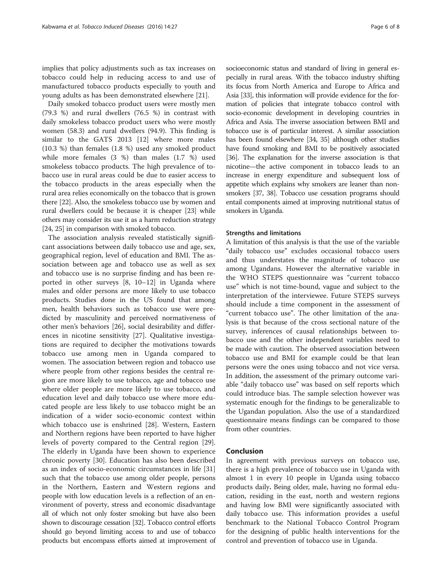implies that policy adjustments such as tax increases on tobacco could help in reducing access to and use of manufactured tobacco products especially to youth and young adults as has been demonstrated elsewhere [\[21\]](#page-6-0).

Daily smoked tobacco product users were mostly men (79.3 %) and rural dwellers (76.5 %) in contrast with daily smokeless tobacco product users who were mostly women (58.3) and rural dwellers (94.9). This finding is similar to the GATS 2013 [[12\]](#page-6-0) where more males (10.3 %) than females (1.8 %) used any smoked product while more females (3 %) than males (1.7 %) used smokeless tobacco products. The high prevalence of tobacco use in rural areas could be due to easier access to the tobacco products in the areas especially when the rural area relies economically on the tobacco that is grown there [\[22\]](#page-6-0). Also, the smokeless tobacco use by women and rural dwellers could be because it is cheaper [\[23\]](#page-6-0) while others may consider its use it as a harm reduction strategy [[24](#page-6-0), [25\]](#page-6-0) in comparison with smoked tobacco.

The association analysis revealed statistically significant associations between daily tobacco use and age, sex, geographical region, level of education and BMI. The association between age and tobacco use as well as sex and tobacco use is no surprise finding and has been reported in other surveys [[8, 10](#page-6-0)–[12\]](#page-6-0) in Uganda where males and older persons are more likely to use tobacco products. Studies done in the US found that among men, health behaviors such as tobacco use were predicted by masculinity and perceived normativeness of other men's behaviors [\[26\]](#page-7-0), social desirability and differences in nicotine sensitivity [\[27](#page-7-0)]. Qualitative investigations are required to decipher the motivations towards tobacco use among men in Uganda compared to women. The association between region and tobacco use where people from other regions besides the central region are more likely to use tobacco, age and tobacco use where older people are more likely to use tobacco, and education level and daily tobacco use where more educated people are less likely to use tobacco might be an indication of a wider socio-economic context within which tobacco use is enshrined [[28\]](#page-7-0). Western, Eastern and Northern regions have been reported to have higher levels of poverty compared to the Central region [\[29](#page-7-0)]. The elderly in Uganda have been shown to experience chronic poverty [[30](#page-7-0)]. Education has also been described as an index of socio-economic circumstances in life [[31](#page-7-0)] such that the tobacco use among older people, persons in the Northern, Eastern and Western regions and people with low education levels is a reflection of an environment of poverty, stress and economic disadvantage all of which not only foster smoking but have also been shown to discourage cessation [\[32\]](#page-7-0). Tobacco control efforts should go beyond limiting access to and use of tobacco products but encompass efforts aimed at improvement of

socioeconomic status and standard of living in general especially in rural areas. With the tobacco industry shifting its focus from North America and Europe to Africa and Asia [\[33\]](#page-7-0), this information will provide evidence for the formation of policies that integrate tobacco control with socio-economic development in developing countries in Africa and Asia. The inverse association between BMI and tobacco use is of particular interest. A similar association has been found elsewhere [\[34, 35](#page-7-0)] although other studies have found smoking and BMI to be positively associated [[36](#page-7-0)]. The explanation for the inverse association is that nicotine—the active component in tobacco leads to an increase in energy expenditure and subsequent loss of appetite which explains why smokers are leaner than nonsmokers [\[37](#page-7-0), [38\]](#page-7-0). Tobacco use cessation programs should entail components aimed at improving nutritional status of smokers in Uganda.

## Strengths and limitations

A limitation of this analysis is that the use of the variable "daily tobacco use" excludes occasional tobacco users and thus understates the magnitude of tobacco use among Ugandans. However the alternative variable in the WHO STEPS questionnaire was "current tobacco use" which is not time-bound, vague and subject to the interpretation of the interviewee. Future STEPS surveys should include a time component in the assessment of "current tobacco use". The other limitation of the analysis is that because of the cross sectional nature of the survey, inferences of causal relationships between tobacco use and the other independent variables need to be made with caution. The observed association between tobacco use and BMI for example could be that lean persons were the ones using tobacco and not vice versa. In addition, the assessment of the primary outcome variable "daily tobacco use" was based on self reports which could introduce bias. The sample selection however was systematic enough for the findings to be generalizable to the Ugandan population. Also the use of a standardized questionnaire means findings can be compared to those from other countries.

## Conclusion

In agreement with previous surveys on tobacco use, there is a high prevalence of tobacco use in Uganda with almost 1 in every 10 people in Uganda using tobacco products daily. Being older, male, having no formal education, residing in the east, north and western regions and having low BMI were significantly associated with daily tobacco use. This information provides a useful benchmark to the National Tobacco Control Program for the designing of public health interventions for the control and prevention of tobacco use in Uganda.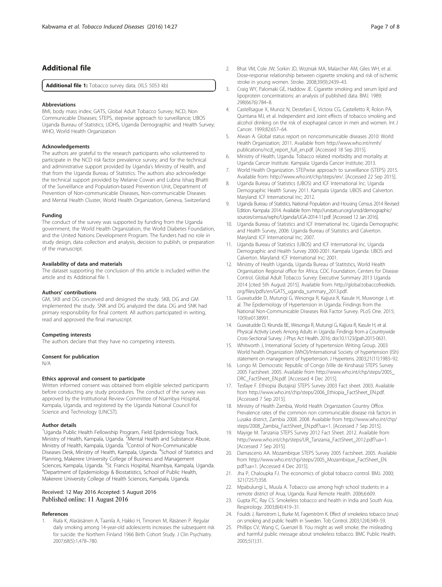## <span id="page-6-0"></span>Additional file

[Additional file 1:](dx.doi.org/10.1186/s12971-016-0093-8) Tobacco survey data. (XLS 5053 kb)

## Abbreviations

BMI, body mass index; GATS, Global Adult Tobacco Survey; NCD, Non Communicable Diseases; STEPS, stepwise approach to surveillance; UBOS Uganda Bureau of Statistics; UDHS, Uganda Demographic and Health Survey; WHO, World Health Organization

#### Acknowledgements

The authors are grateful to the research participants who volunteered to participate in the NCD risk factor prevalence survey; and for the technical and administrative support provided by Uganda's Ministry of Health, and that from the Uganda Bureau of Statistics. The authors also acknowledge the technical support provided by Melanie Cowan and Lubna Ishaq Bhatti of the Surveillance and Population-based Prevention Unit, Department of Prevention of Non-communicable Diseases, Non-communicable Diseases and Mental Health Cluster, World Health Organization, Geneva, Switzerland.

#### Funding

The conduct of the survey was supported by funding from the Uganda government, the World Health Organization, the World Diabetes Foundation, and the United Nations Development Program. The funders had no role in study design, data collection and analysis, decision to publish, or preparation of the manuscript.

#### Availability of data and materials

The dataset supporting the conclusion of this article is included within the article and its Additional file 1.

## Authors' contributions

GM, SKB and DG conceived and designed the study. SKB, DG and GM implemented the study. SNK and DG analyzed the data. DG and SNK had primary responsibility for final content. All authors participated in writing, read and approved the final manuscript.

## Competing interests

The authors declare that they have no competing interests.

#### Consent for publication

N/A

#### Ethics approval and consent to participate

Written informed consent was obtained from eligible selected participants before conducting any study procedures. The conduct of the survey was approved by the Institutional Review Committee of Nsambya Hospital, Kampala, Uganda, and registered by the Uganda National Council for Science and Technology (UNCST).

#### Author details

<sup>1</sup>Uganda Public Health Fellowship Program, Field Epidemiology Track, Ministry of Health, Kampala, Uganda. <sup>2</sup>Mental Health and Substance Abuse, Ministry of Health, Kampala, Uganda. <sup>3</sup>Control of Non-Communicable Diseases Desk, Ministry of Health, Kampala, Uganda. <sup>4</sup>School of Statistics and Planning, Makerere University College of Business and Management Sciences, Kampala, Uganda. <sup>5</sup>St. Francis Hospital, Nsambya, Kampala, Uganda.<br><sup>6</sup>Donartment of Epidemielogy & Biostatistics, School of Public Hoalth Department of Epidemiology & Biostatistics, School of Public Health, Makerere University College of Health Sciences, Kampala, Uganda.

## Received: 12 May 2016 Accepted: 5 August 2016 Published online: 11 August 2016

#### References

1. Riala K, Alaräisänen A, Taanila A, Hakko H, Timonen M, Räsänen P. Regular daily smoking among 14-year-old adolescents increases the subsequent risk for suicide: the Northern Finland 1966 Birth Cohort Study. J Clin Psychiatry. 2007;68(5):1,478–780.

- 2. Bhat VM, Cole JW, Sorkin JD, Wozniak MA, Malarcher AM, Giles WH, et al. Dose-response relationship between cigarette smoking and risk of ischemic stroke in young women. Stroke. 2008;39(9):2439–43.
- 3. Craig WY, Palomaki GE, Haddow JE. Cigarette smoking and serum lipid and lipoprotein concentrations: an analysis of published data. BMJ. 1989; 298(6676):784–8.
- 4. Castellsague X, Munoz N, Destefani E, Victora CG, Castelletto R, Rolon PA, Quintana MJ, et al. Independent and Joint effects of tobacco smoking and alcohol drinking on the risk of esophageal cancer in men and women. Int J Cancer. 1999;82:657–64.
- 5. Alwan A. Global status report on noncommunicable diseases 2010: World Health Organization; 2011. Available from [http://www.who.int/nmh/](http://www.who.int/nmh/publications/ncd_report_full_en.pdf) [publications/ncd\\_report\\_full\\_en.pdf.](http://www.who.int/nmh/publications/ncd_report_full_en.pdf) [Accessed 18 Sep 2015].
- 6. Ministry of Health, Uganda. Tobacco related morbidity and mortality at Uganda Cancer Institute. Kampala: Uganda Cancer Institute; 2013.
- 7. World Health Organization. STEPwise approach to surveillance (STEPS) 2015. Available from:<http://www.who.int/chp/steps/en/>. [Accessed 22 Sep 2015].
- 8. Uganda Bureau of Statistics (UBOS) and ICF International Inc. Uganda Demographic Health Survey 2011. Kampala Uganda: UBOS and Calverton. Maryland: ICF International Inc; 2012.
- 9. Uganda Bureau of Statistics. National Population and Housing Census 2014 Revised Edition. Kampala: 2014. Available from [http://unstats.un.org/unsd/demographic/](http://unstats.un.org/unsd/demographic/sources/census/wphc/Uganda/UGA-2014-11.pdf) [sources/census/wphc/Uganda/UGA-2014-11.pdf.](http://unstats.un.org/unsd/demographic/sources/census/wphc/Uganda/UGA-2014-11.pdf) [Accessed 12 Jan 2016].
- 10. Uganda Bureau of Statistics and ICF International Inc. Uganda Demographic and Health Survey, 2006: Uganda Bureau of Statistics and Calverton. Maryland: ICF International Inc; 2007.
- 11. Uganda Bureau of Statistics (UBOS) and ICF International Inc. Uganda Demographic and Health Survey 2000-2001. Kampala Uganda: UBOS and Calverton. Maryland: ICF International Inc; 2001.
- 12. Ministry of Health Uganda, Uganda Bureau of Statitstics, World Health Organisation Regional office for Africa, CDC Foundation, Centers for Disease Control. Global Adult Tobacco Survey: Executive Summary 2013 Uganda 2014 [cited 5th August 2015]. Available from: [http://global.tobaccofreekids.](http://global.tobaccofreekids.org/files/pdfs/en/GATS_uganda_summary_2013.pdf) [org/files/pdfs/en/GATS\\_uganda\\_summary\\_2013.pdf](http://global.tobaccofreekids.org/files/pdfs/en/GATS_uganda_summary_2013.pdf).
- 13. Guwatudde D, Mutungi G, Wesonga R, Kajjura R, Kasule H, Muwonge J, et al. The Epidemiology of Hypertension in Uganda: Findings from the National Non-Communicable Diseases Risk Factor Survey. PLoS One. 2015; 10(9):e0138991.
- 14. Guwatudde D, Kirunda BE, Wesonga R, Mutungi G, Kajjura R, Kasule H, et al. Physical Activity Levels Among Adults in Uganda: Findings from a Countrywide Cross-Sectional Survey. J Phys Act Health. 2016; doi[:10.1123/jpah.2015-0631.](http://dx.doi.org/10.1123/jpah.2015-0631)
- 15. Whitworth J, International Society of hypertension Writing Group. 2003 World health Organization (WhO)/International Society of hypertension (ISh) statement on management of hypertension. J Hypertens. 2003;21(11):1983–92.
- 16. Longo M. Democratic Republic of Congo (Ville de Kinshasa) STEPS Survey 2005 Factsheet. 2005. Available from [http://www.who.int/chp/steps/2005\\_](http://www.who.int/chp/steps/2005_DRC_FactSheet_EN.pdf) [DRC\\_FactSheet\\_EN.pdf](http://www.who.int/chp/steps/2005_DRC_FactSheet_EN.pdf). [Accessed 4 Dec 2015].
- 17. Tesfaye F. Ethiopia (Butajira) STEPS Survey 2003 Fact sheet. 2003. Available from [http://www.who.int/chp/steps/2006\\_Ethiopia\\_FactSheet\\_EN.pdf.](http://www.who.int/chp/steps/2006_Ethiopia_FactSheet_EN.pdf) [Accessed 7 Sep 2015].
- 18. Ministry of Health Zambia, World Health Organization Country Office. Prevalence rates of the common non communicable disease risk factors in Lusaka district, Zambia 2008. 2008. Available from [http://www.who.int/chp/](http://www.who.int/chp/steps/2008_Zambia_FactSheet_EN.pdf?ua=1) [steps/2008\\_Zambia\\_FactSheet\\_EN.pdf?ua=1.](http://www.who.int/chp/steps/2008_Zambia_FactSheet_EN.pdf?ua=1) [Accessed 7 Sep 2015].
- 19. Mayige M. Tanzania STEPS Survey 2012 Fact Sheet. 2012. Available from [http://www.who.int/chp/steps/UR\\_Tanzania\\_FactSheet\\_2012.pdf?ua=1](http://www.who.int/chp/steps/UR_Tanzania_FactSheet_2012.pdf?ua=1). [Accessed 7 Sep 2015].
- 20. Damasceno AA. Mozambique STEPS Survey 2005 Factsheet. 2005. Available from [http://www.who.int/chp/steps/2005\\_Mozambique\\_FactSheet\\_EN.](http://www.who.int/chp/steps/2005_Mozambique_FactSheet_EN.pdf?ua=1) [pdf?ua=1.](http://www.who.int/chp/steps/2005_Mozambique_FactSheet_EN.pdf?ua=1) [Accessed 4 Dec 2015].
- 21. Jha P, Chaloupka FJ. The economics of global tobacco control. BMJ. 2000; 321(7257):358.
- 22. Mpabulungi L, Muula A. Tobacco use among high school students in a remote district of Arua, Uganda. Rural Remote Health. 2006;6:609.
- 23. Gupta PC, Ray CS. Smokeless tobacco and health in India and South Asia. Respirology. 2003;8(4):419–31.
- 24. Foulds J, Ramstrom L, Burke M, Fagerström K. Effect of smokeless tobacco (snus) on smoking and public health in Sweden. Tob Control. 2003;12(4):349–59.
- 25. Phillips CV, Wang C, Guenzel B. You might as well smoke; the misleading and harmful public message about smokeless tobacco. BMC Public Health. 2005;5(1):31.